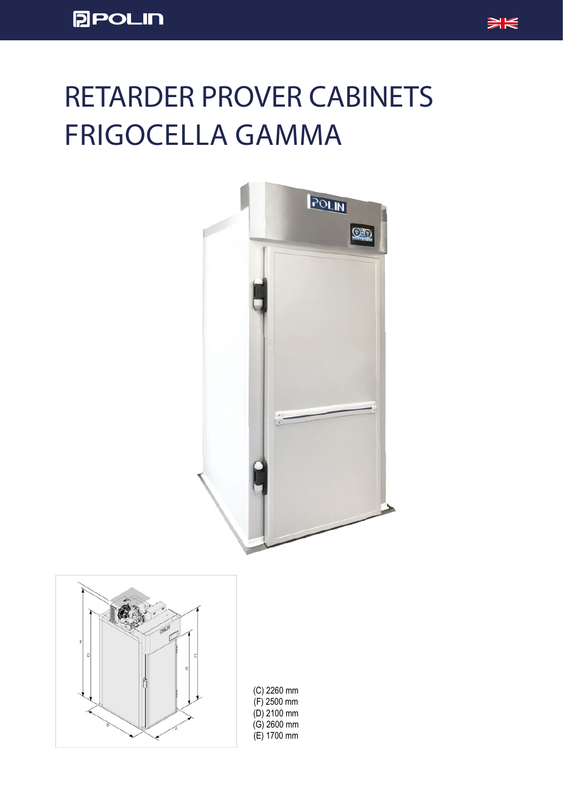

## RETARDER PROVER CABINETS FRIGOCELLA GAMMA



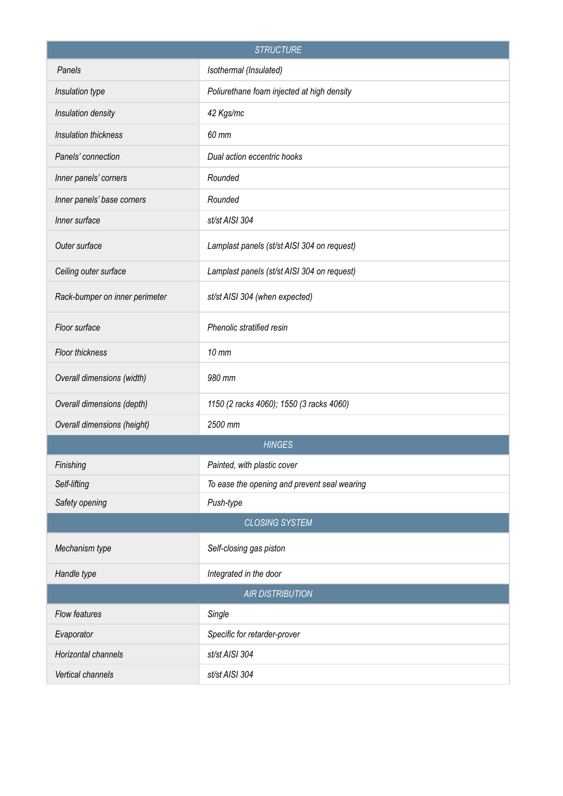| <b>STRUCTURE</b>               |                                              |  |  |  |  |  |  |  |
|--------------------------------|----------------------------------------------|--|--|--|--|--|--|--|
| Panels                         | Isothermal (Insulated)                       |  |  |  |  |  |  |  |
| Insulation type                | Poliurethane foam injected at high density   |  |  |  |  |  |  |  |
| Insulation density             | 42 Kgs/mc                                    |  |  |  |  |  |  |  |
| Insulation thickness           | 60 mm                                        |  |  |  |  |  |  |  |
| Panels' connection             | Dual action eccentric hooks                  |  |  |  |  |  |  |  |
| Inner panels' corners          | Rounded                                      |  |  |  |  |  |  |  |
| Inner panels' base corners     | Rounded                                      |  |  |  |  |  |  |  |
| Inner surface                  | st/st AISI 304                               |  |  |  |  |  |  |  |
| Outer surface                  | Lamplast panels (st/st AISI 304 on request)  |  |  |  |  |  |  |  |
| Ceiling outer surface          | Lamplast panels (st/st AISI 304 on request)  |  |  |  |  |  |  |  |
| Rack-bumper on inner perimeter | st/st AISI 304 (when expected)               |  |  |  |  |  |  |  |
| Floor surface                  | Phenolic stratified resin                    |  |  |  |  |  |  |  |
| Floor thickness                | $10$ mm                                      |  |  |  |  |  |  |  |
| Overall dimensions (width)     | 980 mm                                       |  |  |  |  |  |  |  |
| Overall dimensions (depth)     | 1150 (2 racks 4060); 1550 (3 racks 4060)     |  |  |  |  |  |  |  |
| Overall dimensions (height)    | 2500 mm                                      |  |  |  |  |  |  |  |
|                                | <b>HINGES</b>                                |  |  |  |  |  |  |  |
| Finishing                      | Painted, with plastic cover                  |  |  |  |  |  |  |  |
| Self-lifting                   | To ease the opening and prevent seal wearing |  |  |  |  |  |  |  |
| Safety opening                 | Push-type                                    |  |  |  |  |  |  |  |
|                                | <b>CLOSING SYSTEM</b>                        |  |  |  |  |  |  |  |
| Mechanism type                 | Self-closing gas piston                      |  |  |  |  |  |  |  |
| Handle type                    | Integrated in the door                       |  |  |  |  |  |  |  |
| <b>AIR DISTRIBUTION</b>        |                                              |  |  |  |  |  |  |  |
| Flow features                  | Single                                       |  |  |  |  |  |  |  |
| Evaporator                     | Specific for retarder-prover                 |  |  |  |  |  |  |  |
| Horizontal channels            | st/st AISI 304                               |  |  |  |  |  |  |  |
| Vertical channels              | st/st AISI 304                               |  |  |  |  |  |  |  |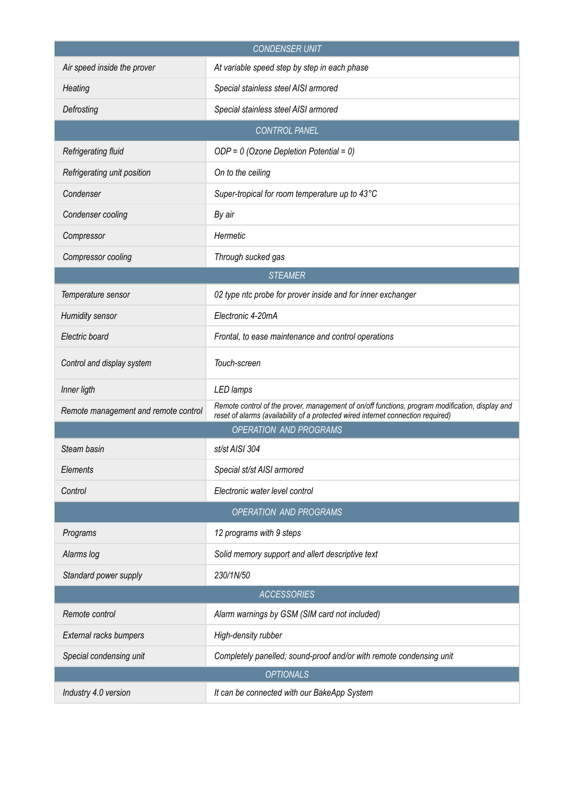| <b>CONDENSER UNIT</b>                |                                                                                                                                                                                     |  |  |  |  |  |  |  |
|--------------------------------------|-------------------------------------------------------------------------------------------------------------------------------------------------------------------------------------|--|--|--|--|--|--|--|
| Air speed inside the prover          | At variable speed step by step in each phase                                                                                                                                        |  |  |  |  |  |  |  |
| Heating                              | Special stainless steel AISI armored                                                                                                                                                |  |  |  |  |  |  |  |
| Defrosting                           | Special stainless steel AISI armored                                                                                                                                                |  |  |  |  |  |  |  |
| <b>CONTROL PANEL</b>                 |                                                                                                                                                                                     |  |  |  |  |  |  |  |
| Refrigerating fluid                  | $ODP = 0$ (Ozone Depletion Potential = 0)                                                                                                                                           |  |  |  |  |  |  |  |
| Refrigerating unit position          | On to the ceiling                                                                                                                                                                   |  |  |  |  |  |  |  |
| Condenser                            | Super-tropical for room temperature up to 43°C                                                                                                                                      |  |  |  |  |  |  |  |
| Condenser cooling                    | By air                                                                                                                                                                              |  |  |  |  |  |  |  |
| Compressor                           | Hermetic                                                                                                                                                                            |  |  |  |  |  |  |  |
| Compressor cooling                   | Through sucked gas                                                                                                                                                                  |  |  |  |  |  |  |  |
| <b>STEAMER</b>                       |                                                                                                                                                                                     |  |  |  |  |  |  |  |
| Temperature sensor                   | 02 type ntc probe for prover inside and for inner exchanger                                                                                                                         |  |  |  |  |  |  |  |
| <b>Humidity sensor</b>               | Electronic 4-20mA                                                                                                                                                                   |  |  |  |  |  |  |  |
| Electric board                       | Frontal, to ease maintenance and control operations                                                                                                                                 |  |  |  |  |  |  |  |
| Control and display system           | Touch-screen                                                                                                                                                                        |  |  |  |  |  |  |  |
| Inner ligth                          | LED lamps                                                                                                                                                                           |  |  |  |  |  |  |  |
| Remote management and remote control | Remote control of the prover, management of on/off functions, program modification, display and<br>reset of alarms (availability of a protected wired internet connection required) |  |  |  |  |  |  |  |
|                                      | <b>OPERATION AND PROGRAMS</b>                                                                                                                                                       |  |  |  |  |  |  |  |
| Steam basin                          | st/st AISI 304                                                                                                                                                                      |  |  |  |  |  |  |  |
| Elements                             | Special st/st AISI armored                                                                                                                                                          |  |  |  |  |  |  |  |
| Control                              | Electronic water level control                                                                                                                                                      |  |  |  |  |  |  |  |
|                                      | OPERATION AND PROGRAMS                                                                                                                                                              |  |  |  |  |  |  |  |
| Programs                             | 12 programs with 9 steps                                                                                                                                                            |  |  |  |  |  |  |  |
| Alarms log                           | Solid memory support and allert descriptive text                                                                                                                                    |  |  |  |  |  |  |  |
| Standard power supply                | 230/1N/50                                                                                                                                                                           |  |  |  |  |  |  |  |
|                                      | <b>ACCESSORIES</b>                                                                                                                                                                  |  |  |  |  |  |  |  |
| Remote control                       | Alarm warnings by GSM (SIM card not included)                                                                                                                                       |  |  |  |  |  |  |  |
| External racks bumpers               | High-density rubber                                                                                                                                                                 |  |  |  |  |  |  |  |
| Special condensing unit              | Completely panelled; sound-proof and/or with remote condensing unit                                                                                                                 |  |  |  |  |  |  |  |
|                                      | <b>OPTIONALS</b>                                                                                                                                                                    |  |  |  |  |  |  |  |
| Industry 4.0 version                 | It can be connected with our BakeApp System                                                                                                                                         |  |  |  |  |  |  |  |